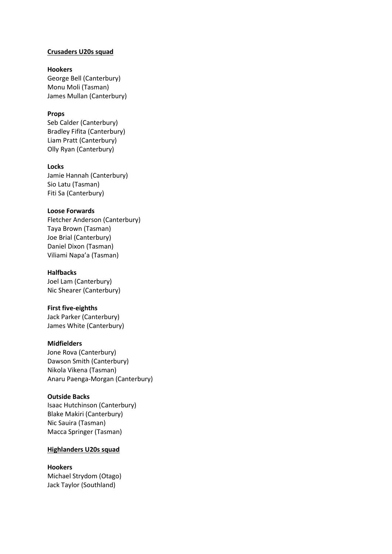### **Crusaders U20s squad**

## **Hookers**

George Bell (Canterbury) Monu Moli (Tasman) James Mullan (Canterbury)

## **Props**

Seb Calder (Canterbury) Bradley Fifita (Canterbury) Liam Pratt (Canterbury) Olly Ryan (Canterbury)

### **Locks**

Jamie Hannah (Canterbury) Sio Latu (Tasman) Fiti Sa (Canterbury)

#### **Loose Forwards**

Fletcher Anderson (Canterbury) Taya Brown (Tasman) Joe Brial (Canterbury) Daniel Dixon (Tasman) Viliami Napa'a (Tasman)

## **Halfbacks**

Joel Lam (Canterbury) Nic Shearer (Canterbury)

### **First five-eighths**

Jack Parker (Canterbury) James White (Canterbury)

### **Midfielders**

Jone Rova (Canterbury) Dawson Smith (Canterbury) Nikola Vikena (Tasman) Anaru Paenga-Morgan (Canterbury)

### **Outside Backs**

Isaac Hutchinson (Canterbury) Blake Makiri (Canterbury) Nic Sauira (Tasman) Macca Springer (Tasman)

### **Highlanders U20s squad**

#### **Hookers**

Michael Strydom (Otago) Jack Taylor (Southland)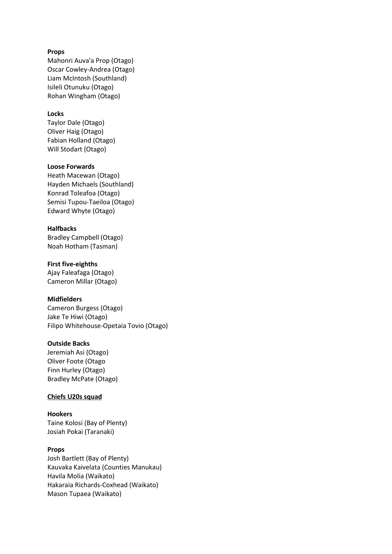## **Props**

Mahonri Auva'a Prop (Otago) Oscar Cowley-Andrea (Otago) Liam McIntosh (Southland) Isileli Otunuku (Otago) Rohan Wingham (Otago)

## **Locks**

Taylor Dale (Otago) Oliver Haig (Otago) Fabian Holland (Otago) Will Stodart (Otago)

### **Loose Forwards**

Heath Macewan (Otago) Hayden Michaels (Southland) Konrad Toleafoa (Otago) Semisi Tupou-Taeiloa (Otago) Edward Whyte (Otago)

## **Halfbacks**

Bradley Campbell (Otago) Noah Hotham (Tasman)

### **First five-eighths**

Ajay Faleafaga (Otago) Cameron Millar (Otago)

### **Midfielders**

Cameron Burgess (Otago) Jake Te Hiwi (Otago) Filipo Whitehouse-Opetaia Tovio (Otago)

### **Outside Backs**

Jeremiah Asi (Otago) Oliver Foote (Otago Finn Hurley (Otago) Bradley McPate (Otago)

### **Chiefs U20s squad**

**Hookers** Taine Kolosi (Bay of Plenty) Josiah Pokai (Taranaki)

### **Props**

Josh Bartlett (Bay of Plenty) Kauvaka Kaivelata (Counties Manukau) Havila Molia (Waikato) Hakaraia Richards-Coxhead (Waikato) Mason Tupaea (Waikato)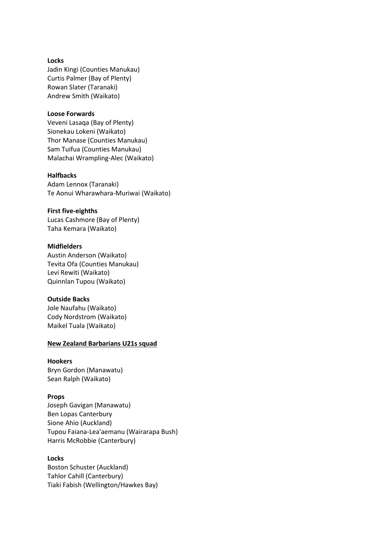#### **Locks**

Jadin Kingi (Counties Manukau) Curtis Palmer (Bay of Plenty) Rowan Slater (Taranaki) Andrew Smith (Waikato)

### **Loose Forwards**

Veveni Lasaqa (Bay of Plenty) Sionekau Lokeni (Waikato) Thor Manase (Counties Manukau) Sam Tuifua (Counties Manukau) Malachai Wrampling-Alec (Waikato)

### **Halfbacks**

Adam Lennox (Taranaki) Te Aonui Wharawhara-Muriwai (Waikato)

#### **First five-eighths**

Lucas Cashmore (Bay of Plenty) Taha Kemara (Waikato)

#### **Midfielders**

Austin Anderson (Waikato) Tevita Ofa (Counties Manukau) Levi Rewiti (Waikato) Quinnlan Tupou (Waikato)

### **Outside Backs**

Jole Naufahu (Waikato) Cody Nordstrom (Waikato) Maikel Tuala (Waikato)

### **New Zealand Barbarians U21s squad**

### **Hookers**

Bryn Gordon (Manawatu) Sean Ralph (Waikato)

#### **Props**

Joseph Gavigan (Manawatu) Ben Lopas Canterbury Sione Ahio (Auckland) Tupou Faiana-Lea'aemanu (Wairarapa Bush) Harris McRobbie (Canterbury)

## **Locks**

Boston Schuster (Auckland) Tahlor Cahill (Canterbury) Tiaki Fabish (Wellington/Hawkes Bay)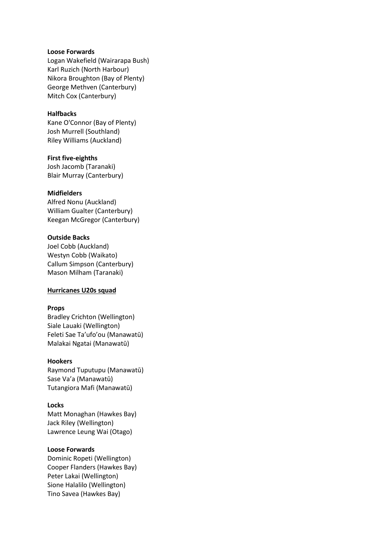### **Loose Forwards**

Logan Wakefield (Wairarapa Bush) Karl Ruzich (North Harbour) Nikora Broughton (Bay of Plenty) George Methven (Canterbury) Mitch Cox (Canterbury)

# **Halfbacks**

Kane O'Connor (Bay of Plenty) Josh Murrell (Southland) Riley Williams (Auckland)

#### **First five-eighths**

Josh Jacomb (Taranaki) Blair Murray (Canterbury)

#### **Midfielders**

Alfred Nonu (Auckland) William Gualter (Canterbury) Keegan McGregor (Canterbury)

## **Outside Backs**

Joel Cobb (Auckland) Westyn Cobb (Waikato) Callum Simpson (Canterbury) Mason Milham (Taranaki)

### **Hurricanes U20s squad**

### **Props**

Bradley Crichton (Wellington) Siale Lauaki (Wellington) Feleti Sae Ta'ufo'ou (Manawatū) Malakai Ngatai (Manawatū)

#### **Hookers**

Raymond Tuputupu (Manawatū) Sase Va'a (Manawatū) Tutangiora Mafi (Manawatū)

### **Locks**

Matt Monaghan (Hawkes Bay) Jack Riley (Wellington) Lawrence Leung Wai (Otago)

## **Loose Forwards**

Dominic Ropeti (Wellington) Cooper Flanders (Hawkes Bay) Peter Lakai (Wellington) Sione Halalilo (Wellington) Tino Savea (Hawkes Bay)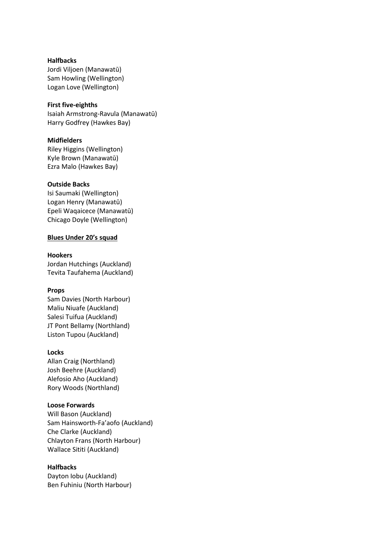## **Halfbacks**

Jordi Viljoen (Manawatū) Sam Howling (Wellington) Logan Love (Wellington)

### **First five-eighths**

Isaiah Armstrong-Ravula (Manawatū) Harry Godfrey (Hawkes Bay)

## **Midfielders**

Riley Higgins (Wellington) Kyle Brown (Manawatū) Ezra Malo (Hawkes Bay)

## **Outside Backs**

Isi Saumaki (Wellington) Logan Henry (Manawatū) Epeli Waqaicece (Manawatū) Chicago Doyle (Wellington)

## **Blues Under 20's squad**

## **Hookers**

Jordan Hutchings (Auckland) Tevita Taufahema (Auckland)

# **Props**

Sam Davies (North Harbour) Maliu Niuafe (Auckland) Salesi Tuifua (Auckland) JT Pont Bellamy (Northland) Liston Tupou (Auckland)

## **Locks**

Allan Craig (Northland) Josh Beehre (Auckland) Alefosio Aho (Auckland) Rory Woods (Northland)

## **Loose Forwards**

Will Bason (Auckland) Sam Hainsworth-Fa'aofo (Auckland) Che Clarke (Auckland) Chlayton Frans (North Harbour) Wallace Sititi (Auckland)

# **Halfbacks**

Dayton Iobu (Auckland) Ben Fuhiniu (North Harbour)